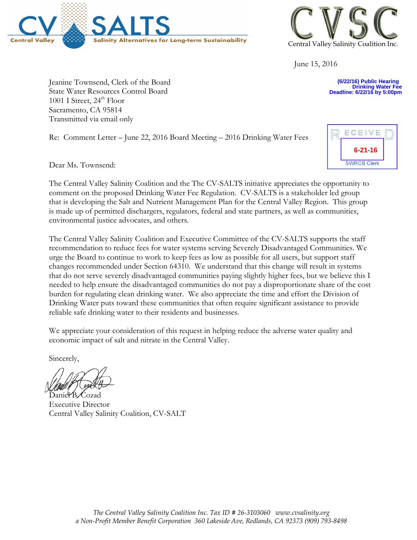



June 15, 2016

**(6/22/16) Public Hearing Drinking Water Fee Deadline: 6/22/16 by 5:00pm**

**6-21-16**

ECEIVE

**SWRCB Clerk** 

Jeanine Townsend, Clerk of the Board State Water Resources Control Board 1001 I Street, 24<sup>th</sup> Floor Sacramento, CA 95814 Transmitted via email only

Re: Comment Letter – June 22, 2016 Board Meeting – 2016 Drinking Water Fees

Dear Ms. Townsend:

The Central Valley Salinity Coalition and the The CV-SALTS initiative appreciates the opportunity to comment on the proposed Drinking Water Fee Regulation. CV-SALTS is a stakeholder led group that is developing the Salt and Nutrient Management Plan for the Central Valley Region. This group is made up of permitted dischargers, regulators, federal and state partners, as well as communities, environmental justice advocates, and others.

The Central Valley Salinity Coalition and Executive Committee of the CV-SALTS supports the staff recommendation to reduce fees for water systems serving Severely Disadvantaged Communities. We urge the Board to continue to work to keep fees as low as possible for all users, but support staff changes recommended under Section 64310. We understand that this change will result in systems that do not serve severely disadvantaged communities paying slightly higher fees, but we believe this I needed to help ensure the disadvantaged communities do not pay a disproportionate share of the cost burden for regulating clean drinking water. We also appreciate the time and effort the Division of Drinking Water puts toward these communities that often require significant assistance to provide reliable safe drinking water to their residents and businesses.

We appreciate your consideration of this request in helping reduce the adverse water quality and economic impact of salt and nitrate in the Central Valley.

Sincerely,

Daniel B. Cozad Executive Director Central Valley Salinity Coalition, CV-SALT